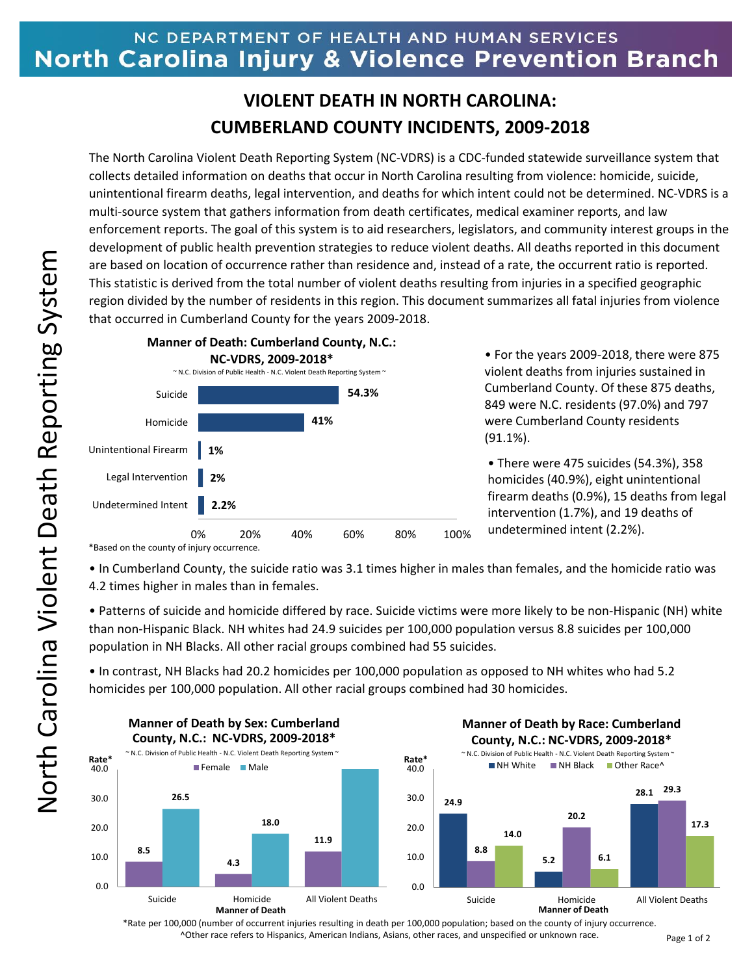## NC DEPARTMENT OF HEALTH AND HUMAN SERVICES North Carolina Injury & Violence Prevention Branch

## **VIOLENT DEATH IN NORTH CAROLINA: CUMBERLAND COUNTY INCIDENTS, 2009-2018**

The North Carolina Violent Death Reporting System (NC-VDRS) is a CDC-funded statewide surveillance system that collects detailed information on deaths that occur in North Carolina resulting from violence: homicide, suicide, unintentional firearm deaths, legal intervention, and deaths for which intent could not be determined. NC-VDRS is a multi-source system that gathers information from death certificates, medical examiner reports, and law enforcement reports. The goal of this system is to aid researchers, legislators, and community interest groups in the development of public health prevention strategies to reduce violent deaths. All deaths reported in this document are based on location of occurrence rather than residence and, instead of a rate, the occurrent ratio is reported. This statistic is derived from the total number of violent deaths resulting from injuries in a specified geographic region divided by the number of residents in this region. This document summarizes all fatal injuries from violence that occurred in Cumberland County for the years 2009-2018.



• For the years 2009-2018, there were 875 violent deaths from injuries sustained in Cumberland County. Of these 875 deaths, 849 were N.C. residents (97.0%) and 797 were Cumberland County residents (91.1%).

• There were 475 suicides (54.3%), 358 homicides (40.9%), eight unintentional firearm deaths (0.9%), 15 deaths from legal intervention (1.7%), and 19 deaths of undetermined intent (2.2%).

\*Based on the county of injury occurrence.

• In Cumberland County, the suicide ratio was 3.1 times higher in males than females, and the homicide ratio was 4.2 times higher in males than in females.

• Patterns of suicide and homicide differed by race. Suicide victims were more likely to be non-Hispanic (NH) white than non-Hispanic Black. NH whites had 24.9 suicides per 100,000 population versus 8.8 suicides per 100,000 population in NH Blacks. All other racial groups combined had 55 suicides.

• In contrast, NH Blacks had 20.2 homicides per 100,000 population as opposed to NH whites who had 5.2 homicides per 100,000 population. All other racial groups combined had 30 homicides.



\*Rate per 100,000 (number of occurrent injuries resulting in death per 100,000 population; based on the county of injury occurrence. ^Other race refers to Hispanics, American Indians, Asians, other races, and unspecified or unknown race.